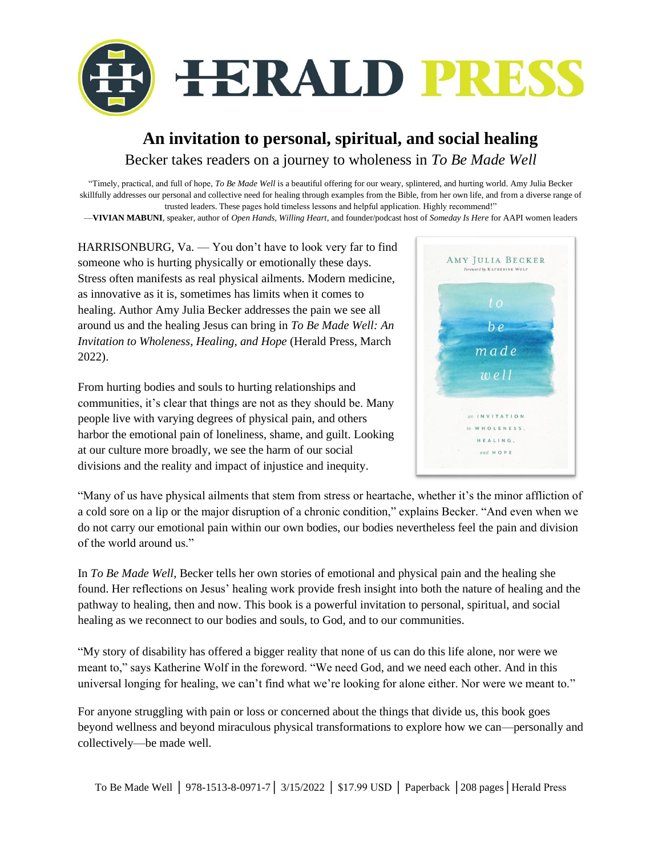

## **An invitation to personal, spiritual, and social healing** Becker takes readers on a journey to wholeness in *To Be Made Well*

"Timely, practical, and full of hope, *To Be Made Well* is a beautiful offering for our weary, splintered, and hurting world. Amy Julia Becker skillfully addresses our personal and collective need for healing through examples from the Bible, from her own life, and from a diverse range of trusted leaders. These pages hold timeless lessons and helpful application. Highly recommend!"

—**VIVIAN MABUNI**, speaker, author of *Open Hands, Willing Heart*, and founder/podcast host of *Someday Is Here* for AAPI women leaders

HARRISONBURG, Va. — You don't have to look very far to find someone who is hurting physically or emotionally these days. Stress often manifests as real physical ailments. Modern medicine, as innovative as it is, sometimes has limits when it comes to healing. Author Amy Julia Becker addresses the pain we see all around us and the healing Jesus can bring in *To Be Made Well: An Invitation to Wholeness, Healing, and Hope* (Herald Press, March 2022).

From hurting bodies and souls to hurting relationships and communities, it's clear that things are not as they should be. Many people live with varying degrees of physical pain, and others harbor the emotional pain of loneliness, shame, and guilt. Looking at our culture more broadly, we see the harm of our social divisions and the reality and impact of injustice and inequity.



"Many of us have physical ailments that stem from stress or heartache, whether it's the minor affliction of a cold sore on a lip or the major disruption of a chronic condition," explains Becker. "And even when we do not carry our emotional pain within our own bodies, our bodies nevertheless feel the pain and division of the world around us."

In *To Be Made Well*, Becker tells her own stories of emotional and physical pain and the healing she found. Her reflections on Jesus' healing work provide fresh insight into both the nature of healing and the pathway to healing, then and now. This book is a powerful invitation to personal, spiritual, and social healing as we reconnect to our bodies and souls, to God, and to our communities.

"My story of disability has offered a bigger reality that none of us can do this life alone, nor were we meant to," says Katherine Wolf in the foreword. "We need God, and we need each other. And in this universal longing for healing, we can't find what we're looking for alone either. Nor were we meant to."

For anyone struggling with pain or loss or concerned about the things that divide us, this book goes beyond wellness and beyond miraculous physical transformations to explore how we can—personally and collectively—be made well.

To Be Made Well │ 978-1513-8-0971-7│ 3/15/2022 │ \$17.99 USD │ Paperback │208 pages│Herald Press